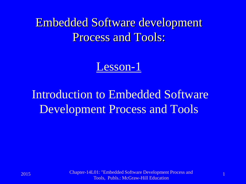## Embedded Software development Process and Tools:

#### Lesson-1

Introduction to Embedded Software Development Process and Tools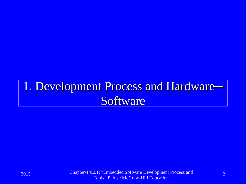## 1. Development Process and Hardware-**Software**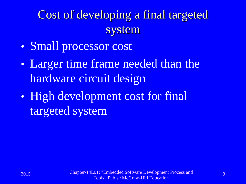# Cost of developing a final targeted system

- Small processor cost
- Larger time frame needed than the hardware circuit design
- High development cost for final targeted system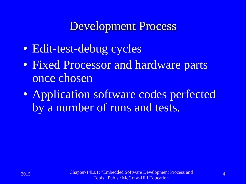### Development Process

- Edit-test-debug cycles
- Fixed Processor and hardware parts once chosen
- Application software codes perfected by a number of runs and tests.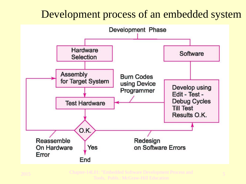### Development process of an embedded system



2015 Chapter-14L01: "Embedded Software Development Process and Tools, Publs.: McGraw-Hill Education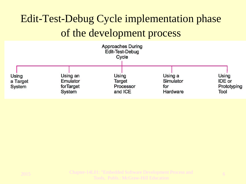## Edit-Test-Debug Cycle implementation phase of the development process

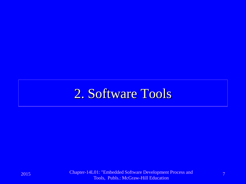## 2. Software Tools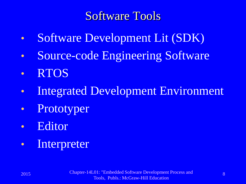### Software Tools

- Software Development Lit (SDK)
- Source-code Engineering Software
- RTOS
- Integrated Development Environment
- Prototyper
- Editor
- Interpreter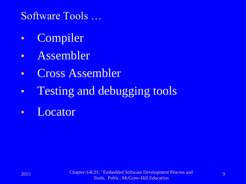### Software Tools …

- Compiler
- Assembler
- Cross Assembler
- Testing and debugging tools
- Locator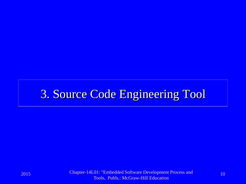## 3. Source Code Engineering Tool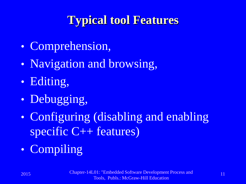- Comprehension,
- Navigation and browsing,
- Editing,
- · Debugging,
- Configuring (disabling and enabling specific C++ features)
- Compiling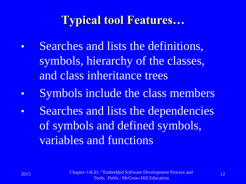- Searches and lists the definitions, symbols, hierarchy of the classes, and class inheritance trees
- Symbols include the class members
- Searches and lists the dependencies of symbols and defined symbols, variables and functions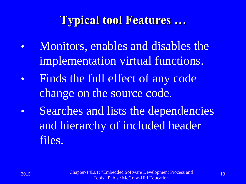- Monitors, enables and disables the implementation virtual functions.
- Finds the full effect of any code change on the source code.
- Searches and lists the dependencies and hierarchy of included header files.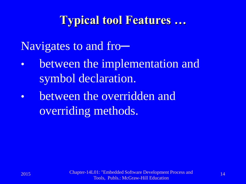Navigates to and fro

- between the implementation and symbol declaration.
- between the overridden and overriding methods.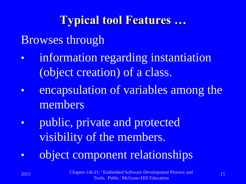### Browses through

- information regarding instantiation (object creation) of a class.
- encapsulation of variables among the members
- public, private and protected visibility of the members.
- object component relationships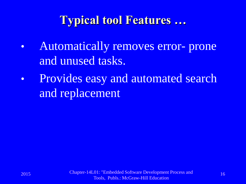- Automatically removes error- prone and unused tasks.
- Provides easy and automated search and replacement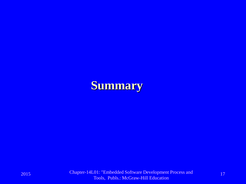### **Summary**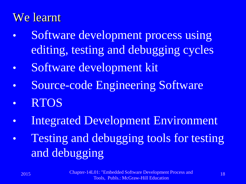## We learnt

- Software development process using editing, testing and debugging cycles
- Software development kit
- Source-code Engineering Software
- RTOS
- Integrated Development Environment
- Testing and debugging tools for testing and debugging

2015 Chapter-14L01: "Embedded Software Development Process and Tools, Publs.: McGraw-Hill Education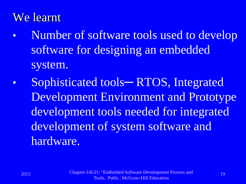## We learnt

- Number of software tools used to develop software for designing an embedded system.
- Sophisticated tools—RTOS, Integrated Development Environment and Prototype development tools needed for integrated development of system software and hardware.